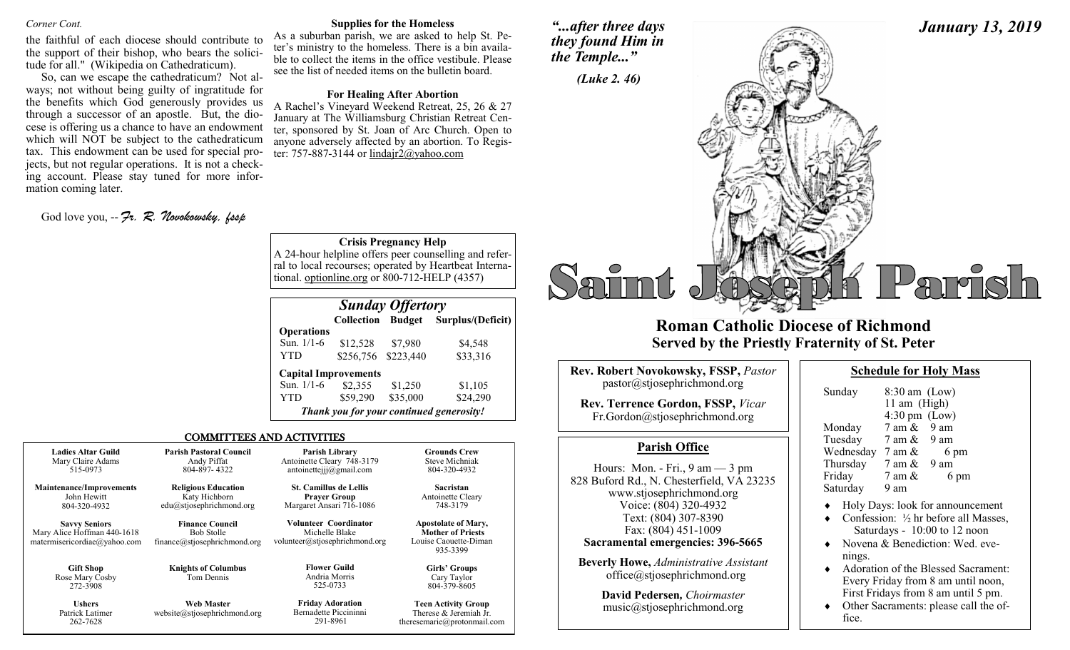#### *Corner Cont.*

the faithful of each diocese should contribute to the support of their bishop, who bears the solicitude for all." (Wikipedia on Cathedraticum).

So, can we escape the cathedraticum? Not always; not without being guilty of ingratitude for the benefits which God generously provides us through a successor of an apostle. But, the diocese is offering us a chance to have an endowment which will NOT be subject to the cathedraticum tax. This endowment can be used for special projects, but not regular operations. It is not a checking account. Please stay tuned for more information coming later.

God love you, -- *Fr. R. Novokowsky, fssp* 

262-7628

#### **Supplies for the Homeless**

As a suburban parish, we are asked to help St. Peter's ministry to the homeless. There is a bin available to collect the items in the office vestibule. Please see the list of needed items on the bulletin board.

#### **For Healing After Abortion**

A Rachel's Vineyard Weekend Retreat, 25, 26 & 27 January at The Williamsburg Christian Retreat Center, sponsored by St. Joan of Arc Church. Open to anyone adversely affected by an abortion. To Register: 757-887-3144 or lindair $2@$ vahoo.com

**Crisis Pregnancy Help**

A 24-hour helpline offers peer counselling and referral to local recourses; operated by Heartbeat International. optionline.org or 800-712-HELP (4357)

| <b>Sunday Offertory</b> |                             |           |                                          |  |
|-------------------------|-----------------------------|-----------|------------------------------------------|--|
|                         | <b>Collection</b>           |           | <b>Budget</b> Surplus/(Deficit)          |  |
| <b>Operations</b>       |                             |           |                                          |  |
| Sun. 1/1-6              | \$12,528                    | \$7,980   | \$4,548                                  |  |
| YTD                     | \$256,756                   | \$223,440 | \$33,316                                 |  |
|                         | <b>Capital Improvements</b> |           |                                          |  |
| Sun. 1/1-6              | \$2,355                     | \$1,250   | \$1,105                                  |  |
| YTD                     | \$59,290                    | \$35,000  | \$24,290                                 |  |
|                         |                             |           | Thank you for your continued generosity! |  |

theresemarie@protonmail.com

#### COMMITTEES AND ACTIVITIES

| <b>Ladies Altar Guild</b>                                                           | <b>Parish Pastoral Council</b>                                              | Parish Library                                                                   | <b>Grounds Crew</b>                                                                         |
|-------------------------------------------------------------------------------------|-----------------------------------------------------------------------------|----------------------------------------------------------------------------------|---------------------------------------------------------------------------------------------|
| Mary Claire Adams                                                                   | Andy Piffat                                                                 | Antoinette Cleary 748-3179                                                       | <b>Steve Michniak</b>                                                                       |
| 515-0973                                                                            | 804-897-4322                                                                | antoinetteijj $@g$ mail.com                                                      | 804-320-4932                                                                                |
| <b>Maintenance/Improvements</b>                                                     | <b>Religious Education</b>                                                  | <b>St. Camillus de Lellis</b>                                                    | Sacristan                                                                                   |
| John Hewitt                                                                         | Katy Hichborn                                                               | <b>Prayer Group</b>                                                              | Antoinette Cleary                                                                           |
| 804-320-4932                                                                        | edu@stjosephrichmond.org                                                    | Margaret Ansari 716-1086                                                         | 748-3179                                                                                    |
| <b>Savvy Seniors</b><br>Mary Alice Hoffman 440-1618<br>matermisericordiae@yahoo.com | <b>Finance Council</b><br><b>Bob Stolle</b><br>finance@stjosephrichmond.org | <b>Volunteer Coordinator</b><br>Michelle Blake<br>volunteer@stjosephrichmond.org | <b>Apostolate of Mary,</b><br><b>Mother of Priests</b><br>Louise Caouette-Diman<br>935-3399 |
| <b>Gift Shop</b><br>Rose Mary Cosby<br>272-3908                                     | <b>Knights of Columbus</b><br>Tom Dennis                                    | <b>Flower Guild</b><br>Andria Morris<br>525-0733                                 | Girls' Groups<br>Cary Taylor<br>804-379-8605                                                |
| <b>Ushers</b>                                                                       | <b>Web Master</b>                                                           | <b>Friday Adoration</b>                                                          | <b>Teen Activity Group</b>                                                                  |
| Patrick Latimer                                                                     | website@stjosephrichmond.org                                                | Bernadette Piccininni                                                            | Therese & Jeremiah Jr.                                                                      |

291-8961

*"...after three days they found Him in the Temple..."*



## **Roman Catholic Diocese of Richmond Served by the Priestly Fraternity of St. Peter**

| <b>Rev. Robert Novokowsky, FSSP, Pastor</b><br>pastor@stjosephrichmond.org |
|----------------------------------------------------------------------------|
| Rev. Terrence Gordon, FSSP, Vicar<br>Fr.Gordon@stjosephrichmond.org        |

### **Parish Office**

Hours: Mon. - Fri., 9 am — 3 pm 828 Buford Rd., N. Chesterfield, VA 23235 www.stjosephrichmond.org Voice: (804) 320-4932 Text: (804) 307-8390 Fax: (804) 451-1009 **Sacramental emergencies: 396-5665 Beverly Howe,** *Administrative Assistant*

office@stjosephrichmond.org

**David Pedersen***, Choirmaster* music@stjosephrichmond.org

| <b>Schedule for Holy Mass</b> |
|-------------------------------|
|-------------------------------|

*January 13, 2019*

| Sunday    | $8:30$ am (Low)<br>11 am (High)<br>$4:30 \text{ pm}$ (Low) |      |
|-----------|------------------------------------------------------------|------|
| Monday    | $7$ am $\&$ 9 am                                           |      |
| Tuesday   | 7 am &                                                     | 9 am |
| Wednesday | 7 am &                                                     | 6 pm |
| Thursday  | 7 am &                                                     | 9 am |
| Friday    | 7 am &                                                     | 6 pm |
| Saturday  | 9 am                                                       |      |

- Holy Days: look for announcement
- Confession: ½ hr before all Masses, Saturdays - 10:00 to 12 noon
- ◆ Novena & Benediction: Wed. evenings.
- ◆ Adoration of the Blessed Sacrament: Every Friday from 8 am until noon, First Fridays from 8 am until 5 pm.
- Other Sacraments: please call the office.